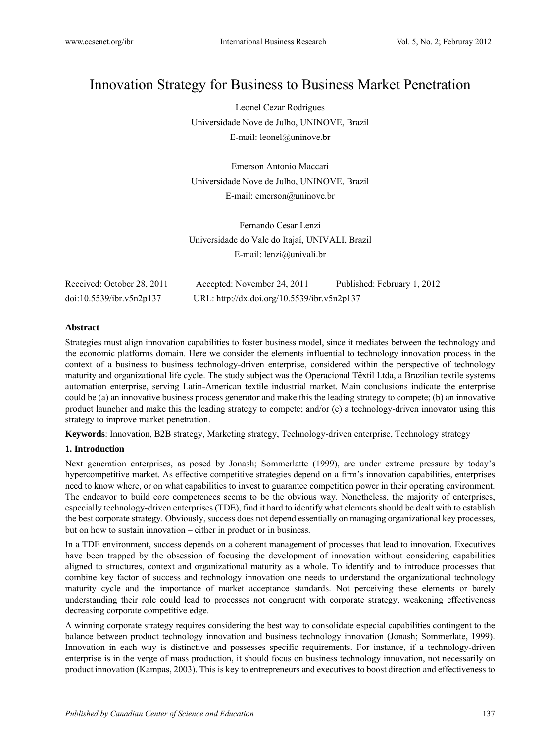# Innovation Strategy for Business to Business Market Penetration

Leonel Cezar Rodrigues Universidade Nove de Julho, UNINOVE, Brazil E-mail: leonel@uninove.br

Emerson Antonio Maccari Universidade Nove de Julho, UNINOVE, Brazil E-mail: emerson@uninove.br

Fernando Cesar Lenzi Universidade do Vale do Itajaí, UNIVALI, Brazil E-mail: lenzi@univali.br

| Received: October 28, 2011 | Accepted: November 24, 2011                 | Published: February 1, 2012 |
|----------------------------|---------------------------------------------|-----------------------------|
| doi:10.5539/ibr.v5n2p137   | URL: http://dx.doi.org/10.5539/ibr.v5n2p137 |                             |

#### **Abstract**

Strategies must align innovation capabilities to foster business model, since it mediates between the technology and the economic platforms domain. Here we consider the elements influential to technology innovation process in the context of a business to business technology-driven enterprise, considered within the perspective of technology maturity and organizational life cycle. The study subject was the Operacional Têxtil Ltda, a Brazilian textile systems automation enterprise, serving Latin-American textile industrial market. Main conclusions indicate the enterprise could be (a) an innovative business process generator and make this the leading strategy to compete; (b) an innovative product launcher and make this the leading strategy to compete; and/or (c) a technology-driven innovator using this strategy to improve market penetration.

**Keywords**: Innovation, B2B strategy, Marketing strategy, Technology-driven enterprise, Technology strategy

#### **1. Introduction**

Next generation enterprises, as posed by Jonash; Sommerlatte (1999), are under extreme pressure by today's hypercompetitive market. As effective competitive strategies depend on a firm's innovation capabilities, enterprises need to know where, or on what capabilities to invest to guarantee competition power in their operating environment. The endeavor to build core competences seems to be the obvious way. Nonetheless, the majority of enterprises, especially technology-driven enterprises (TDE), find it hard to identify what elements should be dealt with to establish the best corporate strategy. Obviously, success does not depend essentially on managing organizational key processes, but on how to sustain innovation – either in product or in business.

In a TDE environment, success depends on a coherent management of processes that lead to innovation. Executives have been trapped by the obsession of focusing the development of innovation without considering capabilities aligned to structures, context and organizational maturity as a whole. To identify and to introduce processes that combine key factor of success and technology innovation one needs to understand the organizational technology maturity cycle and the importance of market acceptance standards. Not perceiving these elements or barely understanding their role could lead to processes not congruent with corporate strategy, weakening effectiveness decreasing corporate competitive edge.

A winning corporate strategy requires considering the best way to consolidate especial capabilities contingent to the balance between product technology innovation and business technology innovation (Jonash; Sommerlate, 1999). Innovation in each way is distinctive and possesses specific requirements. For instance, if a technology-driven enterprise is in the verge of mass production, it should focus on business technology innovation, not necessarily on product innovation (Kampas, 2003). This is key to entrepreneurs and executives to boost direction and effectiveness to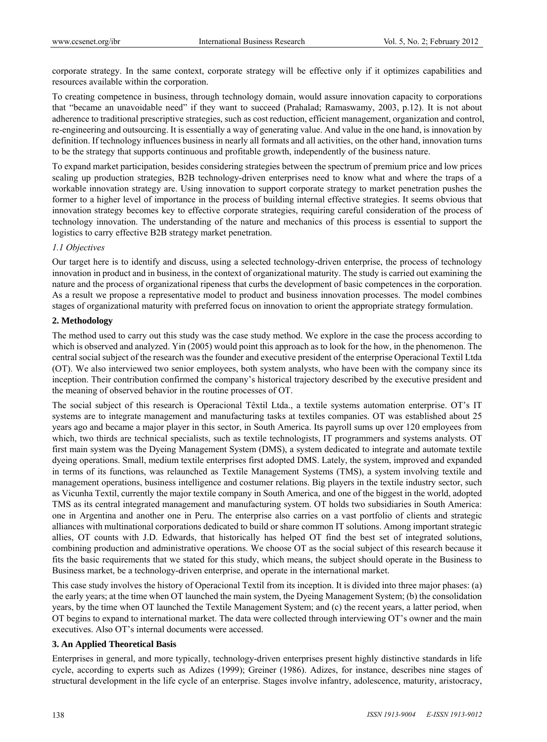corporate strategy. In the same context, corporate strategy will be effective only if it optimizes capabilities and resources available within the corporation.

To creating competence in business, through technology domain, would assure innovation capacity to corporations that "became an unavoidable need" if they want to succeed (Prahalad; Ramaswamy, 2003, p.12). It is not about adherence to traditional prescriptive strategies, such as cost reduction, efficient management, organization and control, re-engineering and outsourcing. It is essentially a way of generating value. And value in the one hand, is innovation by definition. If technology influences business in nearly all formats and all activities, on the other hand, innovation turns to be the strategy that supports continuous and profitable growth, independently of the business nature.

To expand market participation, besides considering strategies between the spectrum of premium price and low prices scaling up production strategies, B2B technology-driven enterprises need to know what and where the traps of a workable innovation strategy are. Using innovation to support corporate strategy to market penetration pushes the former to a higher level of importance in the process of building internal effective strategies. It seems obvious that innovation strategy becomes key to effective corporate strategies, requiring careful consideration of the process of technology innovation. The understanding of the nature and mechanics of this process is essential to support the logistics to carry effective B2B strategy market penetration.

## *1.1 Objectives*

Our target here is to identify and discuss, using a selected technology-driven enterprise, the process of technology innovation in product and in business, in the context of organizational maturity. The study is carried out examining the nature and the process of organizational ripeness that curbs the development of basic competences in the corporation. As a result we propose a representative model to product and business innovation processes. The model combines stages of organizational maturity with preferred focus on innovation to orient the appropriate strategy formulation.

#### **2. Methodology**

The method used to carry out this study was the case study method. We explore in the case the process according to which is observed and analyzed. Yin (2005) would point this approach as to look for the how, in the phenomenon. The central social subject of the research was the founder and executive president of the enterprise Operacional Textil Ltda (OT). We also interviewed two senior employees, both system analysts, who have been with the company since its inception. Their contribution confirmed the company's historical trajectory described by the executive president and the meaning of observed behavior in the routine processes of OT.

The social subject of this research is Operacional Têxtil Ltda., a textile systems automation enterprise. OT's IT systems are to integrate management and manufacturing tasks at textiles companies. OT was established about 25 years ago and became a major player in this sector, in South America. Its payroll sums up over 120 employees from which, two thirds are technical specialists, such as textile technologists, IT programmers and systems analysts. OT first main system was the Dyeing Management System (DMS), a system dedicated to integrate and automate textile dyeing operations. Small, medium textile enterprises first adopted DMS. Lately, the system, improved and expanded in terms of its functions, was relaunched as Textile Management Systems (TMS), a system involving textile and management operations, business intelligence and costumer relations. Big players in the textile industry sector, such as Vicunha Textil, currently the major textile company in South America, and one of the biggest in the world, adopted TMS as its central integrated management and manufacturing system. OT holds two subsidiaries in South America: one in Argentina and another one in Peru. The enterprise also carries on a vast portfolio of clients and strategic alliances with multinational corporations dedicated to build or share common IT solutions. Among important strategic allies, OT counts with J.D. Edwards, that historically has helped OT find the best set of integrated solutions, combining production and administrative operations. We choose OT as the social subject of this research because it fits the basic requirements that we stated for this study, which means, the subject should operate in the Business to Business market, be a technology-driven enterprise, and operate in the international market.

This case study involves the history of Operacional Textil from its inception. It is divided into three major phases: (a) the early years; at the time when OT launched the main system, the Dyeing Management System; (b) the consolidation years, by the time when OT launched the Textile Management System; and (c) the recent years, a latter period, when OT begins to expand to international market. The data were collected through interviewing OT's owner and the main executives. Also OT's internal documents were accessed.

#### **3. An Applied Theoretical Basis**

Enterprises in general, and more typically, technology-driven enterprises present highly distinctive standards in life cycle, according to experts such as Adizes (1999); Greiner (1986). Adizes, for instance, describes nine stages of structural development in the life cycle of an enterprise. Stages involve infantry, adolescence, maturity, aristocracy,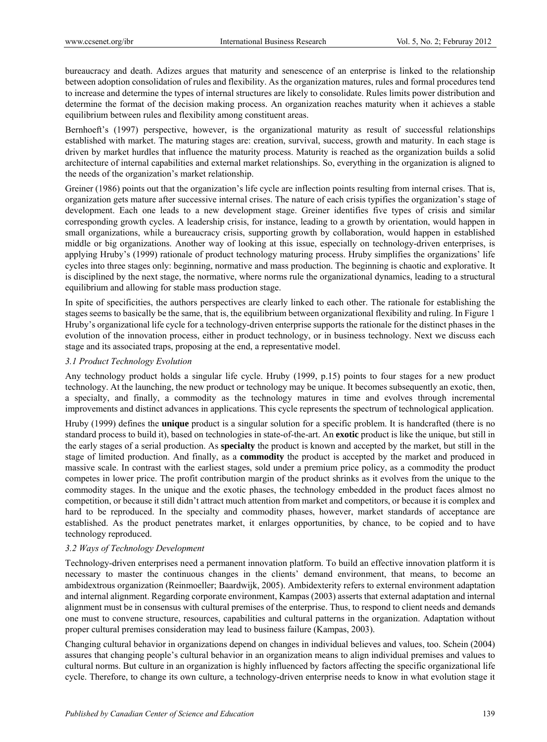bureaucracy and death. Adizes argues that maturity and senescence of an enterprise is linked to the relationship between adoption consolidation of rules and flexibility. As the organization matures, rules and formal procedures tend to increase and determine the types of internal structures are likely to consolidate. Rules limits power distribution and determine the format of the decision making process. An organization reaches maturity when it achieves a stable equilibrium between rules and flexibility among constituent areas.

Bernhoeft's (1997) perspective, however, is the organizational maturity as result of successful relationships established with market. The maturing stages are: creation, survival, success, growth and maturity. In each stage is driven by market hurdles that influence the maturity process. Maturity is reached as the organization builds a solid architecture of internal capabilities and external market relationships. So, everything in the organization is aligned to the needs of the organization's market relationship.

Greiner (1986) points out that the organization's life cycle are inflection points resulting from internal crises. That is, organization gets mature after successive internal crises. The nature of each crisis typifies the organization's stage of development. Each one leads to a new development stage. Greiner identifies five types of crisis and similar corresponding growth cycles. A leadership crisis, for instance, leading to a growth by orientation, would happen in small organizations, while a bureaucracy crisis, supporting growth by collaboration, would happen in established middle or big organizations. Another way of looking at this issue, especially on technology-driven enterprises, is applying Hruby's (1999) rationale of product technology maturing process. Hruby simplifies the organizations' life cycles into three stages only: beginning, normative and mass production. The beginning is chaotic and explorative. It is disciplined by the next stage, the normative, where norms rule the organizational dynamics, leading to a structural equilibrium and allowing for stable mass production stage.

In spite of specificities, the authors perspectives are clearly linked to each other. The rationale for establishing the stages seems to basically be the same, that is, the equilibrium between organizational flexibility and ruling. In Figure 1 Hruby's organizational life cycle for a technology-driven enterprise supports the rationale for the distinct phases in the evolution of the innovation process, either in product technology, or in business technology. Next we discuss each stage and its associated traps, proposing at the end, a representative model.

#### *3.1 Product Technology Evolution*

Any technology product holds a singular life cycle. Hruby (1999, p.15) points to four stages for a new product technology. At the launching, the new product or technology may be unique. It becomes subsequently an exotic, then, a specialty, and finally, a commodity as the technology matures in time and evolves through incremental improvements and distinct advances in applications. This cycle represents the spectrum of technological application.

Hruby (1999) defines the **unique** product is a singular solution for a specific problem. It is handcrafted (there is no standard process to build it), based on technologies in state-of-the-art. An **exotic** product is like the unique, but still in the early stages of a serial production. As **specialty** the product is known and accepted by the market, but still in the stage of limited production. And finally, as a **commodity** the product is accepted by the market and produced in massive scale. In contrast with the earliest stages, sold under a premium price policy, as a commodity the product competes in lower price. The profit contribution margin of the product shrinks as it evolves from the unique to the commodity stages. In the unique and the exotic phases, the technology embedded in the product faces almost no competition, or because it still didn't attract much attention from market and competitors, or because it is complex and hard to be reproduced. In the specialty and commodity phases, however, market standards of acceptance are established. As the product penetrates market, it enlarges opportunities, by chance, to be copied and to have technology reproduced.

## *3.2 Ways of Technology Development*

Technology-driven enterprises need a permanent innovation platform. To build an effective innovation platform it is necessary to master the continuous changes in the clients' demand environment, that means, to become an ambidextrous organization (Reinmoeller; Baardwijk, 2005). Ambidexterity refers to external environment adaptation and internal alignment. Regarding corporate environment, Kampas (2003) asserts that external adaptation and internal alignment must be in consensus with cultural premises of the enterprise. Thus, to respond to client needs and demands one must to convene structure, resources, capabilities and cultural patterns in the organization. Adaptation without proper cultural premises consideration may lead to business failure (Kampas, 2003).

Changing cultural behavior in organizations depend on changes in individual believes and values, too. Schein (2004) assures that changing people's cultural behavior in an organization means to align individual premises and values to cultural norms. But culture in an organization is highly influenced by factors affecting the specific organizational life cycle. Therefore, to change its own culture, a technology-driven enterprise needs to know in what evolution stage it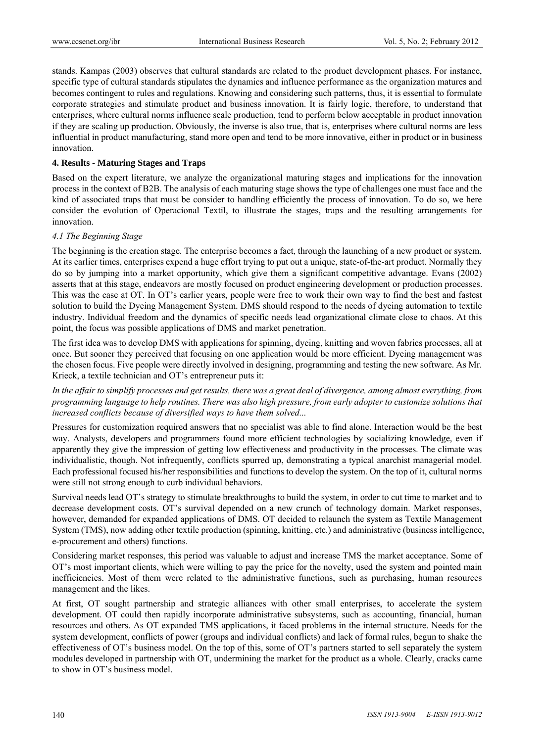stands. Kampas (2003) observes that cultural standards are related to the product development phases. For instance, specific type of cultural standards stipulates the dynamics and influence performance as the organization matures and becomes contingent to rules and regulations. Knowing and considering such patterns, thus, it is essential to formulate corporate strategies and stimulate product and business innovation. It is fairly logic, therefore, to understand that enterprises, where cultural norms influence scale production, tend to perform below acceptable in product innovation if they are scaling up production. Obviously, the inverse is also true, that is, enterprises where cultural norms are less influential in product manufacturing, stand more open and tend to be more innovative, either in product or in business innovation.

## **4. Results - Maturing Stages and Traps**

Based on the expert literature, we analyze the organizational maturing stages and implications for the innovation process in the context of B2B. The analysis of each maturing stage shows the type of challenges one must face and the kind of associated traps that must be consider to handling efficiently the process of innovation. To do so, we here consider the evolution of Operacional Textil, to illustrate the stages, traps and the resulting arrangements for innovation.

#### *4.1 The Beginning Stage*

The beginning is the creation stage. The enterprise becomes a fact, through the launching of a new product or system. At its earlier times, enterprises expend a huge effort trying to put out a unique, state-of-the-art product. Normally they do so by jumping into a market opportunity, which give them a significant competitive advantage. Evans (2002) asserts that at this stage, endeavors are mostly focused on product engineering development or production processes. This was the case at OT. In OT's earlier years, people were free to work their own way to find the best and fastest solution to build the Dyeing Management System. DMS should respond to the needs of dyeing automation to textile industry. Individual freedom and the dynamics of specific needs lead organizational climate close to chaos. At this point, the focus was possible applications of DMS and market penetration.

The first idea was to develop DMS with applications for spinning, dyeing, knitting and woven fabrics processes, all at once. But sooner they perceived that focusing on one application would be more efficient. Dyeing management was the chosen focus. Five people were directly involved in designing, programming and testing the new software. As Mr. Krieck, a textile technician and OT's entrepreneur puts it:

*In the affair to simplify processes and get results, there was a great deal of divergence, among almost everything, from programming language to help routines. There was also high pressure, from early adopter to customize solutions that increased conflicts because of diversified ways to have them solved...* 

Pressures for customization required answers that no specialist was able to find alone. Interaction would be the best way. Analysts, developers and programmers found more efficient technologies by socializing knowledge, even if apparently they give the impression of getting low effectiveness and productivity in the processes. The climate was individualistic, though. Not infrequently, conflicts spurred up, demonstrating a typical anarchist managerial model. Each professional focused his/her responsibilities and functions to develop the system. On the top of it, cultural norms were still not strong enough to curb individual behaviors.

Survival needs lead OT's strategy to stimulate breakthroughs to build the system, in order to cut time to market and to decrease development costs. OT's survival depended on a new crunch of technology domain. Market responses, however, demanded for expanded applications of DMS. OT decided to relaunch the system as Textile Management System (TMS), now adding other textile production (spinning, knitting, etc.) and administrative (business intelligence, e-procurement and others) functions.

Considering market responses, this period was valuable to adjust and increase TMS the market acceptance. Some of OT's most important clients, which were willing to pay the price for the novelty, used the system and pointed main inefficiencies. Most of them were related to the administrative functions, such as purchasing, human resources management and the likes.

At first, OT sought partnership and strategic alliances with other small enterprises, to accelerate the system development. OT could then rapidly incorporate administrative subsystems, such as accounting, financial, human resources and others. As OT expanded TMS applications, it faced problems in the internal structure. Needs for the system development, conflicts of power (groups and individual conflicts) and lack of formal rules, begun to shake the effectiveness of OT's business model. On the top of this, some of OT's partners started to sell separately the system modules developed in partnership with OT, undermining the market for the product as a whole. Clearly, cracks came to show in OT's business model.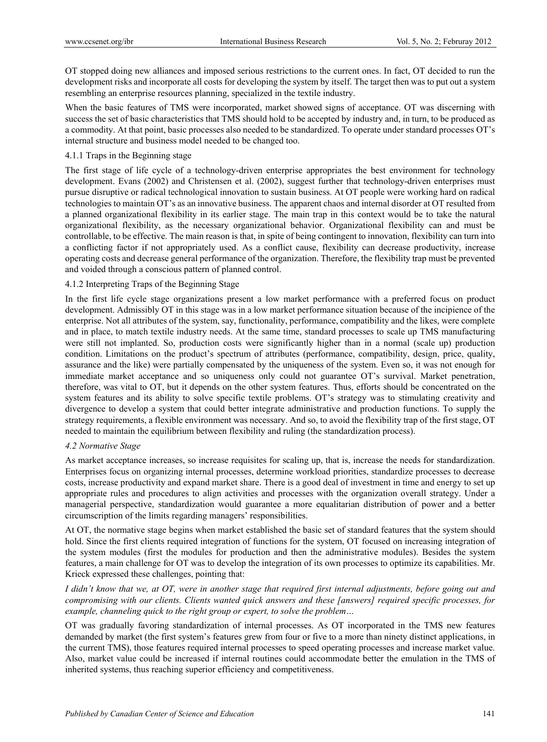OT stopped doing new alliances and imposed serious restrictions to the current ones. In fact, OT decided to run the development risks and incorporate all costs for developing the system by itself. The target then was to put out a system resembling an enterprise resources planning, specialized in the textile industry.

When the basic features of TMS were incorporated, market showed signs of acceptance. OT was discerning with success the set of basic characteristics that TMS should hold to be accepted by industry and, in turn, to be produced as a commodity. At that point, basic processes also needed to be standardized. To operate under standard processes OT's internal structure and business model needed to be changed too.

## 4.1.1 Traps in the Beginning stage

The first stage of life cycle of a technology-driven enterprise appropriates the best environment for technology development. Evans (2002) and Christensen et al. (2002), suggest further that technology-driven enterprises must pursue disruptive or radical technological innovation to sustain business. At OT people were working hard on radical technologies to maintain OT's as an innovative business. The apparent chaos and internal disorder at OT resulted from a planned organizational flexibility in its earlier stage. The main trap in this context would be to take the natural organizational flexibility, as the necessary organizational behavior. Organizational flexibility can and must be controllable, to be effective. The main reason is that, in spite of being contingent to innovation, flexibility can turn into a conflicting factor if not appropriately used. As a conflict cause, flexibility can decrease productivity, increase operating costs and decrease general performance of the organization. Therefore, the flexibility trap must be prevented and voided through a conscious pattern of planned control.

## 4.1.2 Interpreting Traps of the Beginning Stage

In the first life cycle stage organizations present a low market performance with a preferred focus on product development. Admissibly OT in this stage was in a low market performance situation because of the incipience of the enterprise. Not all attributes of the system, say, functionality, performance, compatibility and the likes, were complete and in place, to match textile industry needs. At the same time, standard processes to scale up TMS manufacturing were still not implanted. So, production costs were significantly higher than in a normal (scale up) production condition. Limitations on the product's spectrum of attributes (performance, compatibility, design, price, quality, assurance and the like) were partially compensated by the uniqueness of the system. Even so, it was not enough for immediate market acceptance and so uniqueness only could not guarantee OT's survival. Market penetration, therefore, was vital to OT, but it depends on the other system features. Thus, efforts should be concentrated on the system features and its ability to solve specific textile problems. OT's strategy was to stimulating creativity and divergence to develop a system that could better integrate administrative and production functions. To supply the strategy requirements, a flexible environment was necessary. And so, to avoid the flexibility trap of the first stage, OT needed to maintain the equilibrium between flexibility and ruling (the standardization process).

#### *4.2 Normative Stage*

As market acceptance increases, so increase requisites for scaling up, that is, increase the needs for standardization. Enterprises focus on organizing internal processes, determine workload priorities, standardize processes to decrease costs, increase productivity and expand market share. There is a good deal of investment in time and energy to set up appropriate rules and procedures to align activities and processes with the organization overall strategy. Under a managerial perspective, standardization would guarantee a more equalitarian distribution of power and a better circumscription of the limits regarding managers' responsibilities.

At OT, the normative stage begins when market established the basic set of standard features that the system should hold. Since the first clients required integration of functions for the system, OT focused on increasing integration of the system modules (first the modules for production and then the administrative modules). Besides the system features, a main challenge for OT was to develop the integration of its own processes to optimize its capabilities. Mr. Krieck expressed these challenges, pointing that:

*I didn't know that we, at OT, were in another stage that required first internal adjustments, before going out and compromising with our clients. Clients wanted quick answers and these [answers] required specific processes, for example, channeling quick to the right group or expert, to solve the problem…* 

OT was gradually favoring standardization of internal processes. As OT incorporated in the TMS new features demanded by market (the first system's features grew from four or five to a more than ninety distinct applications, in the current TMS), those features required internal processes to speed operating processes and increase market value. Also, market value could be increased if internal routines could accommodate better the emulation in the TMS of inherited systems, thus reaching superior efficiency and competitiveness.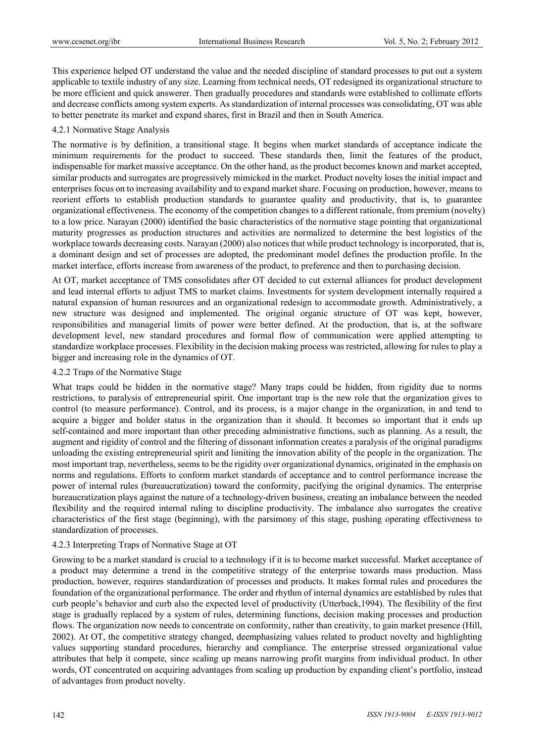This experience helped OT understand the value and the needed discipline of standard processes to put out a system applicable to textile industry of any size. Learning from technical needs, OT redesigned its organizational structure to be more efficient and quick answerer. Then gradually procedures and standards were established to collimate efforts and decrease conflicts among system experts. As standardization of internal processes was consolidating, OT was able to better penetrate its market and expand shares, first in Brazil and then in South America.

#### 4.2.1 Normative Stage Analysis

The normative is by definition, a transitional stage. It begins when market standards of acceptance indicate the minimum requirements for the product to succeed. These standards then, limit the features of the product, indispensable for market massive acceptance. On the other hand, as the product becomes known and market accepted, similar products and surrogates are progressively mimicked in the market. Product novelty loses the initial impact and enterprises focus on to increasing availability and to expand market share. Focusing on production, however, means to reorient efforts to establish production standards to guarantee quality and productivity, that is, to guarantee organizational effectiveness. The economy of the competition changes to a different rationale, from premium (novelty) to a low price. Narayan (2000) identified the basic characteristics of the normative stage pointing that organizational maturity progresses as production structures and activities are normalized to determine the best logistics of the workplace towards decreasing costs. Narayan (2000) also notices that while product technology is incorporated, that is, a dominant design and set of processes are adopted, the predominant model defines the production profile. In the market interface, efforts increase from awareness of the product, to preference and then to purchasing decision.

At OT, market acceptance of TMS consolidates after OT decided to cut external alliances for product development and lead internal efforts to adjust TMS to market claims. Investments for system development internally required a natural expansion of human resources and an organizational redesign to accommodate growth. Administratively, a new structure was designed and implemented. The original organic structure of OT was kept, however, responsibilities and managerial limits of power were better defined. At the production, that is, at the software development level, new standard procedures and formal flow of communication were applied attempting to standardize workplace processes. Flexibility in the decision making process was restricted, allowing for rules to play a bigger and increasing role in the dynamics of OT.

#### 4.2.2 Traps of the Normative Stage

What traps could be hidden in the normative stage? Many traps could be hidden, from rigidity due to norms restrictions, to paralysis of entrepreneurial spirit. One important trap is the new role that the organization gives to control (to measure performance). Control, and its process, is a major change in the organization, in and tend to acquire a bigger and bolder status in the organization than it should. It becomes so important that it ends up self-contained and more important than other preceding administrative functions, such as planning. As a result, the augment and rigidity of control and the filtering of dissonant information creates a paralysis of the original paradigms unloading the existing entrepreneurial spirit and limiting the innovation ability of the people in the organization. The most important trap, nevertheless, seems to be the rigidity over organizational dynamics, originated in the emphasis on norms and regulations. Efforts to conform market standards of acceptance and to control performance increase the power of internal rules (bureaucratization) toward the conformity, pacifying the original dynamics. The enterprise bureaucratization plays against the nature of a technology-driven business, creating an imbalance between the needed flexibility and the required internal ruling to discipline productivity. The imbalance also surrogates the creative characteristics of the first stage (beginning), with the parsimony of this stage, pushing operating effectiveness to standardization of processes.

#### 4.2.3 Interpreting Traps of Normative Stage at OT

Growing to be a market standard is crucial to a technology if it is to become market successful. Market acceptance of a product may determine a trend in the competitive strategy of the enterprise towards mass production. Mass production, however, requires standardization of processes and products. It makes formal rules and procedures the foundation of the organizational performance. The order and rhythm of internal dynamics are established by rules that curb people's behavior and curb also the expected level of productivity (Utterback,1994). The flexibility of the first stage is gradually replaced by a system of rules, determining functions, decision making processes and production flows. The organization now needs to concentrate on conformity, rather than creativity, to gain market presence (Hill, 2002). At OT, the competitive strategy changed, deemphasizing values related to product novelty and highlighting values supporting standard procedures, hierarchy and compliance. The enterprise stressed organizational value attributes that help it compete, since scaling up means narrowing profit margins from individual product. In other words, OT concentrated on acquiring advantages from scaling up production by expanding client's portfolio, instead of advantages from product novelty.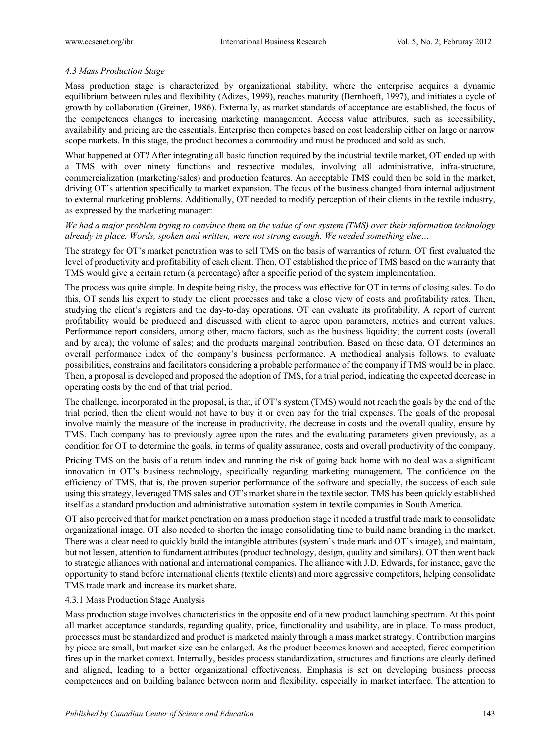## *4.3 Mass Production Stage*

Mass production stage is characterized by organizational stability, where the enterprise acquires a dynamic equilibrium between rules and flexibility (Adizes, 1999), reaches maturity (Bernhoeft, 1997), and initiates a cycle of growth by collaboration (Greiner, 1986). Externally, as market standards of acceptance are established, the focus of the competences changes to increasing marketing management. Access value attributes, such as accessibility, availability and pricing are the essentials. Enterprise then competes based on cost leadership either on large or narrow scope markets. In this stage, the product becomes a commodity and must be produced and sold as such.

What happened at OT? After integrating all basic function required by the industrial textile market, OT ended up with a TMS with over ninety functions and respective modules, involving all administrative, infra-structure, commercialization (marketing/sales) and production features. An acceptable TMS could then be sold in the market, driving OT's attention specifically to market expansion. The focus of the business changed from internal adjustment to external marketing problems. Additionally, OT needed to modify perception of their clients in the textile industry, as expressed by the marketing manager:

*We had a major problem trying to convince them on the value of our system (TMS) over their information technology already in place. Words, spoken and written, were not strong enough. We needed something else…* 

The strategy for OT's market penetration was to sell TMS on the basis of warranties of return. OT first evaluated the level of productivity and profitability of each client. Then, OT established the price of TMS based on the warranty that TMS would give a certain return (a percentage) after a specific period of the system implementation.

The process was quite simple. In despite being risky, the process was effective for OT in terms of closing sales. To do this, OT sends his expert to study the client processes and take a close view of costs and profitability rates. Then, studying the client's registers and the day-to-day operations, OT can evaluate its profitability. A report of current profitability would be produced and discussed with client to agree upon parameters, metrics and current values. Performance report considers, among other, macro factors, such as the business liquidity; the current costs (overall and by area); the volume of sales; and the products marginal contribution. Based on these data, OT determines an overall performance index of the company's business performance. A methodical analysis follows, to evaluate possibilities, constrains and facilitators considering a probable performance of the company if TMS would be in place. Then, a proposal is developed and proposed the adoption of TMS, for a trial period, indicating the expected decrease in operating costs by the end of that trial period.

The challenge, incorporated in the proposal, is that, if OT's system (TMS) would not reach the goals by the end of the trial period, then the client would not have to buy it or even pay for the trial expenses. The goals of the proposal involve mainly the measure of the increase in productivity, the decrease in costs and the overall quality, ensure by TMS. Each company has to previously agree upon the rates and the evaluating parameters given previously, as a condition for OT to determine the goals, in terms of quality assurance, costs and overall productivity of the company.

Pricing TMS on the basis of a return index and running the risk of going back home with no deal was a significant innovation in OT's business technology, specifically regarding marketing management. The confidence on the efficiency of TMS, that is, the proven superior performance of the software and specially, the success of each sale using this strategy, leveraged TMS sales and OT's market share in the textile sector. TMS has been quickly established itself as a standard production and administrative automation system in textile companies in South America.

OT also perceived that for market penetration on a mass production stage it needed a trustful trade mark to consolidate organizational image. OT also needed to shorten the image consolidating time to build name branding in the market. There was a clear need to quickly build the intangible attributes (system's trade mark and OT's image), and maintain, but not lessen, attention to fundament attributes (product technology, design, quality and similars). OT then went back to strategic alliances with national and international companies. The alliance with J.D. Edwards, for instance, gave the opportunity to stand before international clients (textile clients) and more aggressive competitors, helping consolidate TMS trade mark and increase its market share.

#### 4.3.1 Mass Production Stage Analysis

Mass production stage involves characteristics in the opposite end of a new product launching spectrum. At this point all market acceptance standards, regarding quality, price, functionality and usability, are in place. To mass product, processes must be standardized and product is marketed mainly through a mass market strategy. Contribution margins by piece are small, but market size can be enlarged. As the product becomes known and accepted, fierce competition fires up in the market context. Internally, besides process standardization, structures and functions are clearly defined and aligned, leading to a better organizational effectiveness. Emphasis is set on developing business process competences and on building balance between norm and flexibility, especially in market interface. The attention to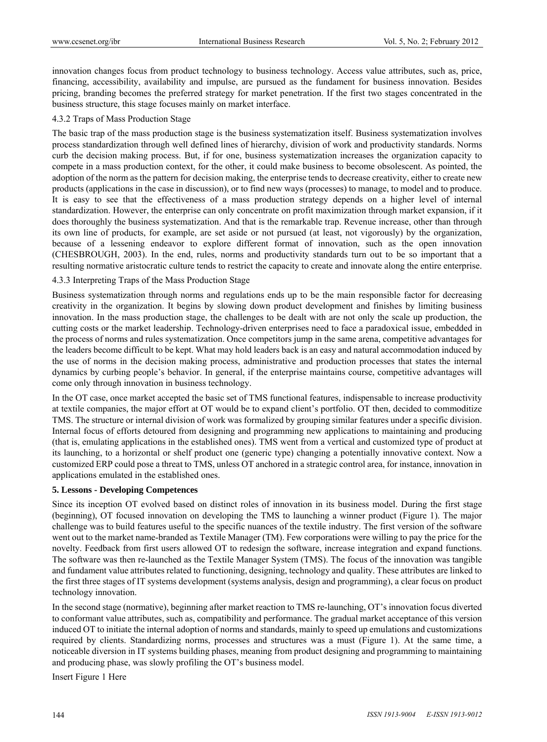innovation changes focus from product technology to business technology. Access value attributes, such as, price, financing, accessibility, availability and impulse, are pursued as the fundament for business innovation. Besides pricing, branding becomes the preferred strategy for market penetration. If the first two stages concentrated in the business structure, this stage focuses mainly on market interface.

#### 4.3.2 Traps of Mass Production Stage

The basic trap of the mass production stage is the business systematization itself. Business systematization involves process standardization through well defined lines of hierarchy, division of work and productivity standards. Norms curb the decision making process. But, if for one, business systematization increases the organization capacity to compete in a mass production context, for the other, it could make business to become obsolescent. As pointed, the adoption of the norm as the pattern for decision making, the enterprise tends to decrease creativity, either to create new products (applications in the case in discussion), or to find new ways (processes) to manage, to model and to produce. It is easy to see that the effectiveness of a mass production strategy depends on a higher level of internal standardization. However, the enterprise can only concentrate on profit maximization through market expansion, if it does thoroughly the business systematization. And that is the remarkable trap. Revenue increase, other than through its own line of products, for example, are set aside or not pursued (at least, not vigorously) by the organization, because of a lessening endeavor to explore different format of innovation, such as the open innovation (CHESBROUGH, 2003). In the end, rules, norms and productivity standards turn out to be so important that a resulting normative aristocratic culture tends to restrict the capacity to create and innovate along the entire enterprise.

#### 4.3.3 Interpreting Traps of the Mass Production Stage

Business systematization through norms and regulations ends up to be the main responsible factor for decreasing creativity in the organization. It begins by slowing down product development and finishes by limiting business innovation. In the mass production stage, the challenges to be dealt with are not only the scale up production, the cutting costs or the market leadership. Technology-driven enterprises need to face a paradoxical issue, embedded in the process of norms and rules systematization. Once competitors jump in the same arena, competitive advantages for the leaders become difficult to be kept. What may hold leaders back is an easy and natural accommodation induced by the use of norms in the decision making process, administrative and production processes that states the internal dynamics by curbing people's behavior. In general, if the enterprise maintains course, competitive advantages will come only through innovation in business technology.

In the OT case, once market accepted the basic set of TMS functional features, indispensable to increase productivity at textile companies, the major effort at OT would be to expand client's portfolio. OT then, decided to commoditize TMS. The structure or internal division of work was formalized by grouping similar features under a specific division. Internal focus of efforts detoured from designing and programming new applications to maintaining and producing (that is, emulating applications in the established ones). TMS went from a vertical and customized type of product at its launching, to a horizontal or shelf product one (generic type) changing a potentially innovative context. Now a customized ERP could pose a threat to TMS, unless OT anchored in a strategic control area, for instance, innovation in applications emulated in the established ones.

# **5. Lessons - Developing Competences**

Since its inception OT evolved based on distinct roles of innovation in its business model. During the first stage (beginning), OT focused innovation on developing the TMS to launching a winner product (Figure 1). The major challenge was to build features useful to the specific nuances of the textile industry. The first version of the software went out to the market name-branded as Textile Manager (TM). Few corporations were willing to pay the price for the novelty. Feedback from first users allowed OT to redesign the software, increase integration and expand functions. The software was then re-launched as the Textile Manager System (TMS). The focus of the innovation was tangible and fundament value attributes related to functioning, designing, technology and quality. These attributes are linked to the first three stages of IT systems development (systems analysis, design and programming), a clear focus on product technology innovation.

In the second stage (normative), beginning after market reaction to TMS re-launching, OT's innovation focus diverted to conformant value attributes, such as, compatibility and performance. The gradual market acceptance of this version induced OT to initiate the internal adoption of norms and standards, mainly to speed up emulations and customizations required by clients. Standardizing norms, processes and structures was a must (Figure 1). At the same time, a noticeable diversion in IT systems building phases, meaning from product designing and programming to maintaining and producing phase, was slowly profiling the OT's business model.

Insert Figure 1 Here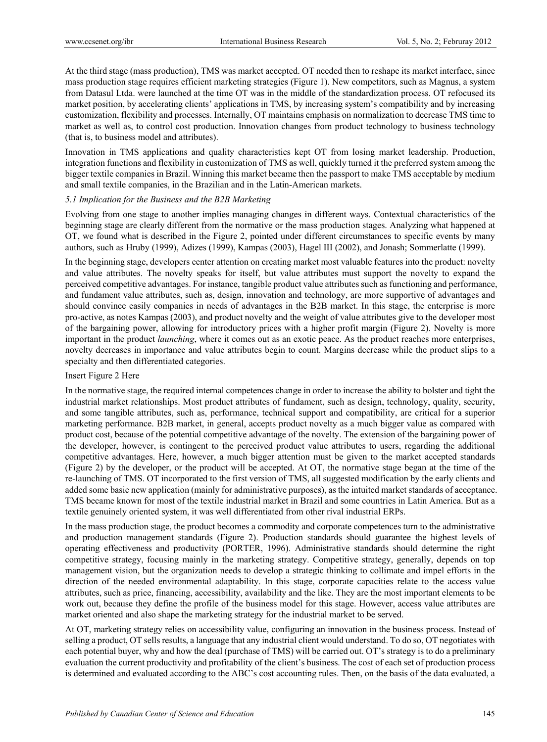At the third stage (mass production), TMS was market accepted. OT needed then to reshape its market interface, since mass production stage requires efficient marketing strategies (Figure 1). New competitors, such as Magnus, a system from Datasul Ltda. were launched at the time OT was in the middle of the standardization process. OT refocused its market position, by accelerating clients' applications in TMS, by increasing system's compatibility and by increasing customization, flexibility and processes. Internally, OT maintains emphasis on normalization to decrease TMS time to market as well as, to control cost production. Innovation changes from product technology to business technology (that is, to business model and attributes).

Innovation in TMS applications and quality characteristics kept OT from losing market leadership. Production, integration functions and flexibility in customization of TMS as well, quickly turned it the preferred system among the bigger textile companies in Brazil. Winning this market became then the passport to make TMS acceptable by medium and small textile companies, in the Brazilian and in the Latin-American markets.

## *5.1 Implication for the Business and the B2B Marketing*

Evolving from one stage to another implies managing changes in different ways. Contextual characteristics of the beginning stage are clearly different from the normative or the mass production stages. Analyzing what happened at OT, we found what is described in the Figure 2, pointed under different circumstances to specific events by many authors, such as Hruby (1999), Adizes (1999), Kampas (2003), Hagel III (2002), and Jonash; Sommerlatte (1999).

In the beginning stage, developers center attention on creating market most valuable features into the product: novelty and value attributes. The novelty speaks for itself, but value attributes must support the novelty to expand the perceived competitive advantages. For instance, tangible product value attributes such as functioning and performance, and fundament value attributes, such as, design, innovation and technology, are more supportive of advantages and should convince easily companies in needs of advantages in the B2B market. In this stage, the enterprise is more pro-active, as notes Kampas (2003), and product novelty and the weight of value attributes give to the developer most of the bargaining power, allowing for introductory prices with a higher profit margin (Figure 2). Novelty is more important in the product *launching*, where it comes out as an exotic peace. As the product reaches more enterprises, novelty decreases in importance and value attributes begin to count. Margins decrease while the product slips to a specialty and then differentiated categories.

## Insert Figure 2 Here

In the normative stage, the required internal competences change in order to increase the ability to bolster and tight the industrial market relationships. Most product attributes of fundament, such as design, technology, quality, security, and some tangible attributes, such as, performance, technical support and compatibility, are critical for a superior marketing performance. B2B market, in general, accepts product novelty as a much bigger value as compared with product cost, because of the potential competitive advantage of the novelty. The extension of the bargaining power of the developer, however, is contingent to the perceived product value attributes to users, regarding the additional competitive advantages. Here, however, a much bigger attention must be given to the market accepted standards (Figure 2) by the developer, or the product will be accepted. At OT, the normative stage began at the time of the re-launching of TMS. OT incorporated to the first version of TMS, all suggested modification by the early clients and added some basic new application (mainly for administrative purposes), as the intuited market standards of acceptance. TMS became known for most of the textile industrial market in Brazil and some countries in Latin America. But as a textile genuinely oriented system, it was well differentiated from other rival industrial ERPs.

In the mass production stage, the product becomes a commodity and corporate competences turn to the administrative and production management standards (Figure 2). Production standards should guarantee the highest levels of operating effectiveness and productivity (PORTER, 1996). Administrative standards should determine the right competitive strategy, focusing mainly in the marketing strategy. Competitive strategy, generally, depends on top management vision, but the organization needs to develop a strategic thinking to collimate and impel efforts in the direction of the needed environmental adaptability. In this stage, corporate capacities relate to the access value attributes, such as price, financing, accessibility, availability and the like. They are the most important elements to be work out, because they define the profile of the business model for this stage. However, access value attributes are market oriented and also shape the marketing strategy for the industrial market to be served.

At OT, marketing strategy relies on accessibility value, configuring an innovation in the business process. Instead of selling a product, OT sells results, a language that any industrial client would understand. To do so, OT negotiates with each potential buyer, why and how the deal (purchase of TMS) will be carried out. OT's strategy is to do a preliminary evaluation the current productivity and profitability of the client's business. The cost of each set of production process is determined and evaluated according to the ABC's cost accounting rules. Then, on the basis of the data evaluated, a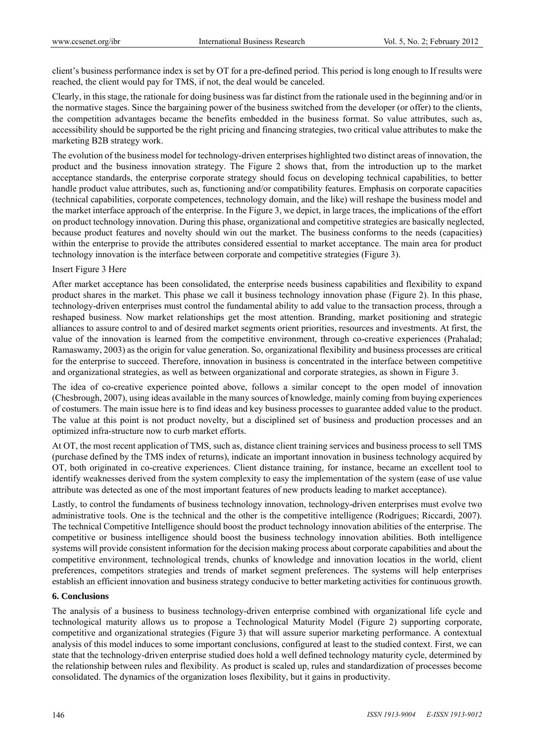client's business performance index is set by OT for a pre-defined period. This period is long enough to If results were reached, the client would pay for TMS, if not, the deal would be canceled.

Clearly, in this stage, the rationale for doing business was far distinct from the rationale used in the beginning and/or in the normative stages. Since the bargaining power of the business switched from the developer (or offer) to the clients, the competition advantages became the benefits embedded in the business format. So value attributes, such as, accessibility should be supported be the right pricing and financing strategies, two critical value attributes to make the marketing B2B strategy work.

The evolution of the business model for technology-driven enterprises highlighted two distinct areas of innovation, the product and the business innovation strategy. The Figure 2 shows that, from the introduction up to the market acceptance standards, the enterprise corporate strategy should focus on developing technical capabilities, to better handle product value attributes, such as, functioning and/or compatibility features. Emphasis on corporate capacities (technical capabilities, corporate competences, technology domain, and the like) will reshape the business model and the market interface approach of the enterprise. In the Figure 3, we depict, in large traces, the implications of the effort on product technology innovation. During this phase, organizational and competitive strategies are basically neglected, because product features and novelty should win out the market. The business conforms to the needs (capacities) within the enterprise to provide the attributes considered essential to market acceptance. The main area for product technology innovation is the interface between corporate and competitive strategies (Figure 3).

#### Insert Figure 3 Here

After market acceptance has been consolidated, the enterprise needs business capabilities and flexibility to expand product shares in the market. This phase we call it business technology innovation phase (Figure 2). In this phase, technology-driven enterprises must control the fundamental ability to add value to the transaction process, through a reshaped business. Now market relationships get the most attention. Branding, market positioning and strategic alliances to assure control to and of desired market segments orient priorities, resources and investments. At first, the value of the innovation is learned from the competitive environment, through co-creative experiences (Prahalad; Ramaswamy, 2003) as the origin for value generation. So, organizational flexibility and business processes are critical for the enterprise to succeed. Therefore, innovation in business is concentrated in the interface between competitive and organizational strategies, as well as between organizational and corporate strategies, as shown in Figure 3.

The idea of co-creative experience pointed above, follows a similar concept to the open model of innovation (Chesbrough, 2007), using ideas available in the many sources of knowledge, mainly coming from buying experiences of costumers. The main issue here is to find ideas and key business processes to guarantee added value to the product. The value at this point is not product novelty, but a disciplined set of business and production processes and an optimized infra-structure now to curb market efforts.

At OT, the most recent application of TMS, such as, distance client training services and business process to sell TMS (purchase defined by the TMS index of returns), indicate an important innovation in business technology acquired by OT, both originated in co-creative experiences. Client distance training, for instance, became an excellent tool to identify weaknesses derived from the system complexity to easy the implementation of the system (ease of use value attribute was detected as one of the most important features of new products leading to market acceptance).

Lastly, to control the fundaments of business technology innovation, technology-driven enterprises must evolve two administrative tools. One is the technical and the other is the competitive intelligence (Rodrigues; Riccardi, 2007). The technical Competitive Intelligence should boost the product technology innovation abilities of the enterprise. The competitive or business intelligence should boost the business technology innovation abilities. Both intelligence systems will provide consistent information for the decision making process about corporate capabilities and about the competitive environment, technological trends, chunks of knowledge and innovation locatios in the world, client preferences, competitors strategies and trends of market segment preferences. The systems will help enterprises establish an efficient innovation and business strategy conducive to better marketing activities for continuous growth.

#### **6. Conclusions**

The analysis of a business to business technology-driven enterprise combined with organizational life cycle and technological maturity allows us to propose a Technological Maturity Model (Figure 2) supporting corporate, competitive and organizational strategies (Figure 3) that will assure superior marketing performance. A contextual analysis of this model induces to some important conclusions, configured at least to the studied context. First, we can state that the technology-driven enterprise studied does hold a well defined technology maturity cycle, determined by the relationship between rules and flexibility. As product is scaled up, rules and standardization of processes become consolidated. The dynamics of the organization loses flexibility, but it gains in productivity.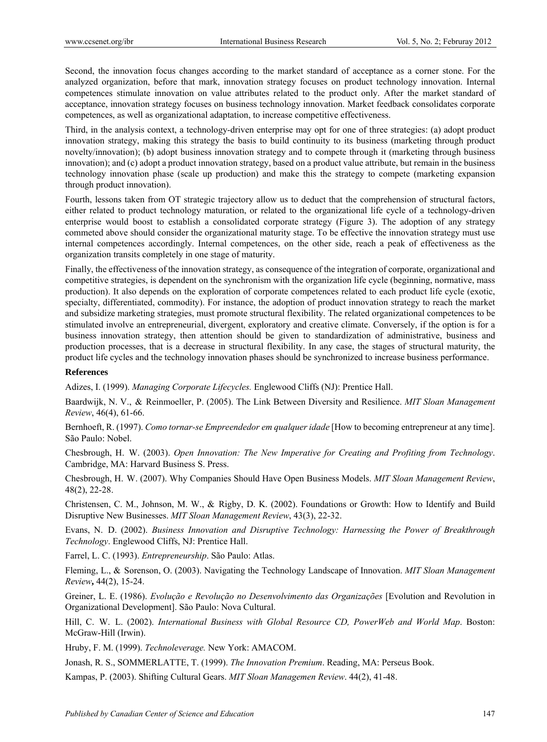Second, the innovation focus changes according to the market standard of acceptance as a corner stone. For the analyzed organization, before that mark, innovation strategy focuses on product technology innovation. Internal competences stimulate innovation on value attributes related to the product only. After the market standard of acceptance, innovation strategy focuses on business technology innovation. Market feedback consolidates corporate competences, as well as organizational adaptation, to increase competitive effectiveness.

Third, in the analysis context, a technology-driven enterprise may opt for one of three strategies: (a) adopt product innovation strategy, making this strategy the basis to build continuity to its business (marketing through product novelty/innovation); (b) adopt business innovation strategy and to compete through it (marketing through business innovation); and (c) adopt a product innovation strategy, based on a product value attribute, but remain in the business technology innovation phase (scale up production) and make this the strategy to compete (marketing expansion through product innovation).

Fourth, lessons taken from OT strategic trajectory allow us to deduct that the comprehension of structural factors, either related to product technology maturation, or related to the organizational life cycle of a technology-driven enterprise would boost to establish a consolidated corporate strategy (Figure 3). The adoption of any strategy commeted above should consider the organizational maturity stage. To be effective the innovation strategy must use internal competences accordingly. Internal competences, on the other side, reach a peak of effectiveness as the organization transits completely in one stage of maturity.

Finally, the effectiveness of the innovation strategy, as consequence of the integration of corporate, organizational and competitive strategies, is dependent on the synchronism with the organization life cycle (beginning, normative, mass production). It also depends on the exploration of corporate competences related to each product life cycle (exotic, specialty, differentiated, commodity). For instance, the adoption of product innovation strategy to reach the market and subsidize marketing strategies, must promote structural flexibility. The related organizational competences to be stimulated involve an entrepreneurial, divergent, exploratory and creative climate. Conversely, if the option is for a business innovation strategy, then attention should be given to standardization of administrative, business and production processes, that is a decrease in structural flexibility. In any case, the stages of structural maturity, the product life cycles and the technology innovation phases should be synchronized to increase business performance.

#### **References**

Adizes, I. (1999). *Managing Corporate Lifecycles.* Englewood Cliffs (NJ): Prentice Hall.

Baardwijk, N. V., & Reinmoeller, P. (2005). The Link Between Diversity and Resilience. *MIT Sloan Management Review*, 46(4), 61-66.

Bernhoeft, R. (1997). *Como tornar-se Empreendedor em qualquer idade* [How to becoming entrepreneur at any time]. São Paulo: Nobel.

Chesbrough, H. W. (2003). *Open Innovation: The New Imperative for Creating and Profiting from Technology*. Cambridge, MA: Harvard Business S. Press.

Chesbrough, H. W. (2007). Why Companies Should Have Open Business Models. *MIT Sloan Management Review*, 48(2), 22-28.

Christensen, C. M., Johnson, M. W., & Rigby, D. K. (2002). Foundations or Growth: How to Identify and Build Disruptive New Businesses. *MIT Sloan Management Review*, 43(3), 22-32.

Evans, N. D. (2002). *Business Innovation and Disruptive Technology: Harnessing the Power of Breakthrough Technology*. Englewood Cliffs, NJ: Prentice Hall.

Farrel, L. C. (1993). *Entrepreneurship*. São Paulo: Atlas.

Fleming, L., & Sorenson, O. (2003). Navigating the Technology Landscape of Innovation. *MIT Sloan Management Review***,** 44(2), 15-24.

Greiner, L. E. (1986). *Evolução e Revolução no Desenvolvimento das Organizações* [Evolution and Revolution in Organizational Development]. São Paulo: Nova Cultural.

Hill, C. W. L. (2002). *International Business with Global Resource CD, PowerWeb and World Map*. Boston: McGraw-Hill (Irwin).

Hruby, F. M. (1999). *Technoleverage.* New York: AMACOM.

Jonash, R. S., SOMMERLATTE, T. (1999). *The Innovation Premium*. Reading, MA: Perseus Book.

Kampas, P. (2003). Shifting Cultural Gears. *MIT Sloan Managemen Review*. 44(2), 41-48.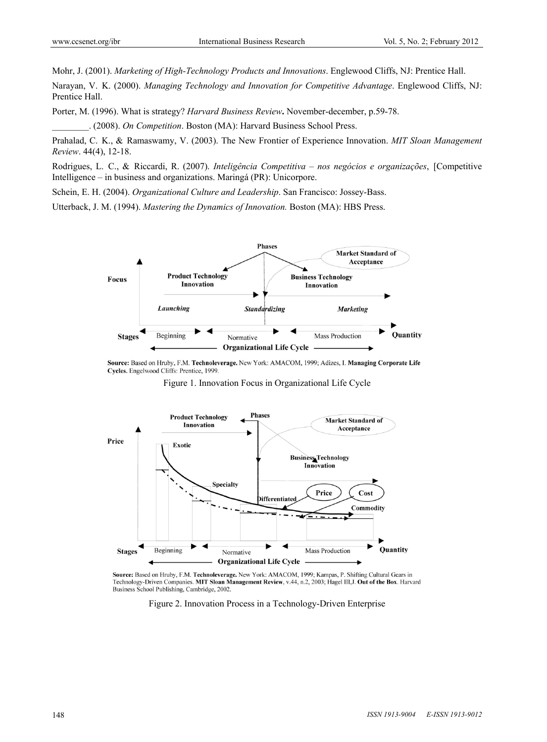Mohr, J. (2001). *Marketing of High-Technology Products and Innovations*. Englewood Cliffs, NJ: Prentice Hall.

Narayan, V. K. (2000). *Managing Technology and Innovation for Competitive Advantage*. Englewood Cliffs, NJ: Prentice Hall.

Porter, M. (1996). What is strategy? *Harvard Business Review***.** November-december, p.59-78.

\_\_\_\_\_\_\_\_. (2008). *On Competition*. Boston (MA): Harvard Business School Press.

Prahalad, C. K., & Ramaswamy, V. (2003). The New Frontier of Experience Innovation. *MIT Sloan Management Review*. 44(4), 12-18.

Rodrigues, L. C., & Riccardi, R. (2007). *Inteligência Competitiva – nos negócios e organizações*, [Competitive Intelligence – in business and organizations. Maringá (PR): Unicorpore.

Schein, E. H. (2004). *Organizational Culture and Leadership*. San Francisco: Jossey-Bass.

Utterback, J. M. (1994). *Mastering the Dynamics of Innovation.* Boston (MA): HBS Press.



Source: Based on Hruby, F.M. Technoleverage. New York: AMACOM, 1999; Adizes, I. Managing Corporate Life Cycles. Engelwood Cliffs: Prentice, 1999.

Figure 1. Innovation Focus in Organizational Life Cycle



Source: Based on Hruby, F.M. Technoleverage. New York: AMACOM, 1999; Kampas, P. Shifting Cultural Gears in Technology-Driven Companies. MIT Sloan Management Review, v.44, n.2, 2003; Hagel III,J. Out of the Box. Harvard Business School Publishing, Cambridge, 2002.

Figure 2. Innovation Process in a Technology-Driven Enterprise